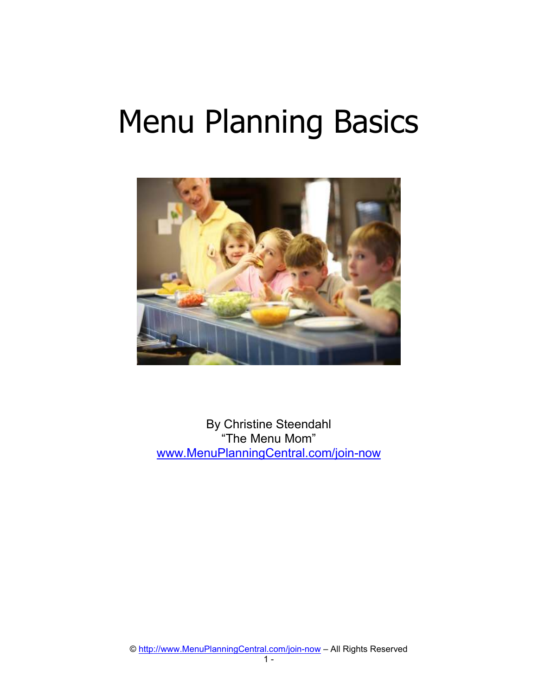# Menu Planning Basics



By Christine Steendahl "The Menu Mom" www.MenuPlanningCentral.com/join-now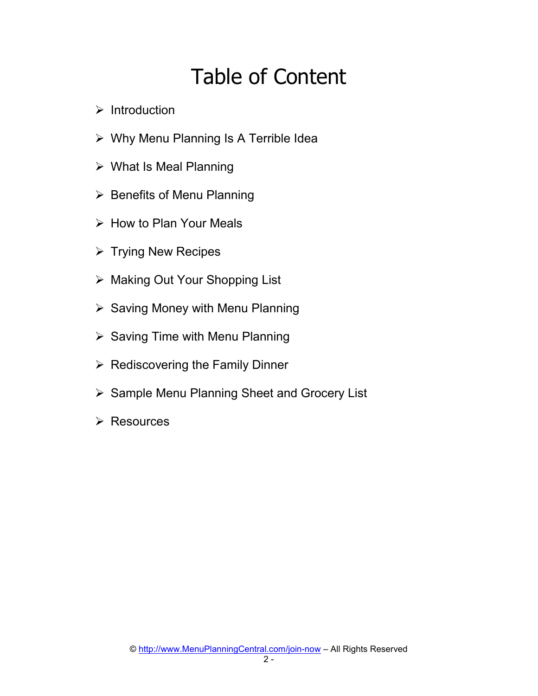## Table of Content

- $\triangleright$  Introduction
- Why Menu Planning Is A Terrible Idea
- What Is Meal Planning
- $\triangleright$  Benefits of Menu Planning
- $\triangleright$  How to Plan Your Meals
- $\triangleright$  Trying New Recipes
- ▶ Making Out Your Shopping List
- $\triangleright$  Saving Money with Menu Planning
- $\triangleright$  Saving Time with Menu Planning
- $\triangleright$  Rediscovering the Family Dinner
- $\triangleright$  Sample Menu Planning Sheet and Grocery List
- $\triangleright$  Resources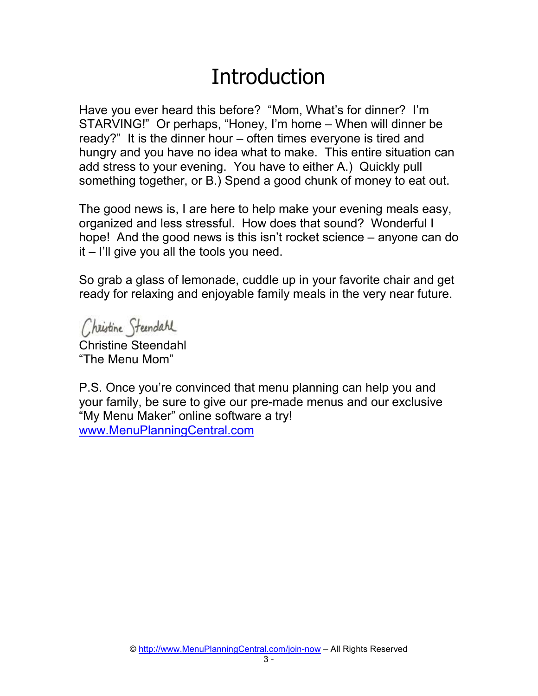#### **Introduction**

Have you ever heard this before? "Mom, What's for dinner? I'm STARVING!" Or perhaps, "Honey, I'm home – When will dinner be ready?" It is the dinner hour – often times everyone is tired and hungry and you have no idea what to make. This entire situation can add stress to your evening. You have to either A.) Quickly pull something together, or B.) Spend a good chunk of money to eat out.

The good news is, I are here to help make your evening meals easy, organized and less stressful. How does that sound? Wonderful I hope! And the good news is this isn't rocket science – anyone can do it – I'll give you all the tools you need.

So grab a glass of lemonade, cuddle up in your favorite chair and get ready for relaxing and enjoyable family meals in the very near future.

Christine Steendard Christine Steendahl

"The Menu Mom"

P.S. Once you're convinced that menu planning can help you and your family, be sure to give our pre-made menus and our exclusive "My Menu Maker" online software a try! www.MenuPlanningCentral.com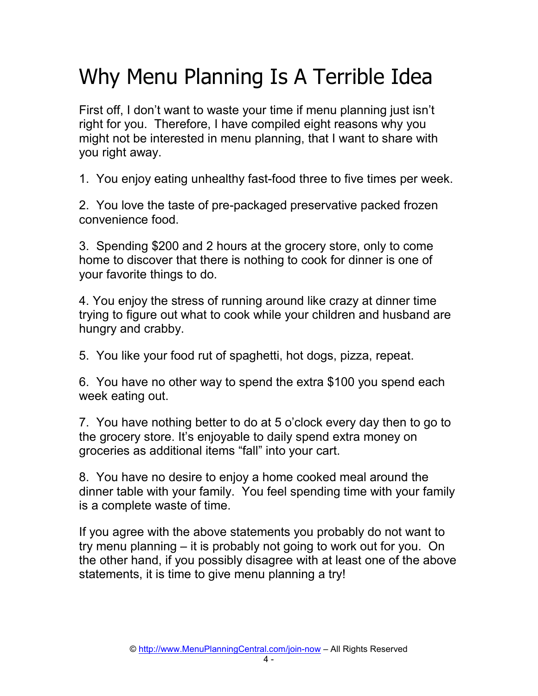## Why Menu Planning Is A Terrible Idea

First off, I don't want to waste your time if menu planning just isn't right for you. Therefore, I have compiled eight reasons why you might not be interested in menu planning, that I want to share with you right away.

1. You enjoy eating unhealthy fast-food three to five times per week.

2. You love the taste of pre-packaged preservative packed frozen convenience food.

3. Spending \$200 and 2 hours at the grocery store, only to come home to discover that there is nothing to cook for dinner is one of your favorite things to do.

4. You enjoy the stress of running around like crazy at dinner time trying to figure out what to cook while your children and husband are hungry and crabby.

5. You like your food rut of spaghetti, hot dogs, pizza, repeat.

6. You have no other way to spend the extra \$100 you spend each week eating out.

7. You have nothing better to do at 5 o'clock every day then to go to the grocery store. It's enjoyable to daily spend extra money on groceries as additional items "fall" into your cart.

8. You have no desire to enjoy a home cooked meal around the dinner table with your family. You feel spending time with your family is a complete waste of time.

If you agree with the above statements you probably do not want to try menu planning – it is probably not going to work out for you. On the other hand, if you possibly disagree with at least one of the above statements, it is time to give menu planning a try!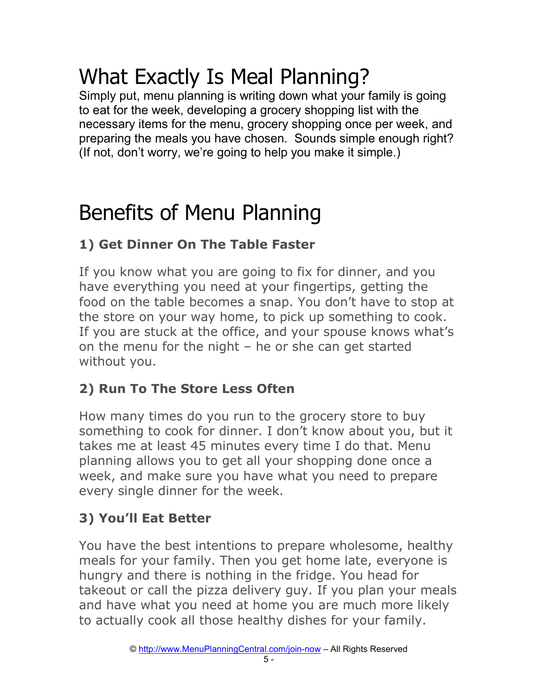## What Exactly Is Meal Planning?

Simply put, menu planning is writing down what your family is going to eat for the week, developing a grocery shopping list with the necessary items for the menu, grocery shopping once per week, and preparing the meals you have chosen. Sounds simple enough right? (If not, don't worry, we're going to help you make it simple.)

## Benefits of Menu Planning

#### **1) Get Dinner On The Table Faster**

If you know what you are going to fix for dinner, and you have everything you need at your fingertips, getting the food on the table becomes a snap. You don't have to stop at the store on your way home, to pick up something to cook. If you are stuck at the office, and your spouse knows what's on the menu for the night – he or she can get started without you.

#### **2) Run To The Store Less Often**

How many times do you run to the grocery store to buy something to cook for dinner. I don't know about you, but it takes me at least 45 minutes every time I do that. Menu planning allows you to get all your shopping done once a week, and make sure you have what you need to prepare every single dinner for the week.

#### **3) You'll Eat Better**

You have the best intentions to prepare wholesome, healthy meals for your family. Then you get home late, everyone is hungry and there is nothing in the fridge. You head for takeout or call the pizza delivery guy. If you plan your meals and have what you need at home you are much more likely to actually cook all those healthy dishes for your family.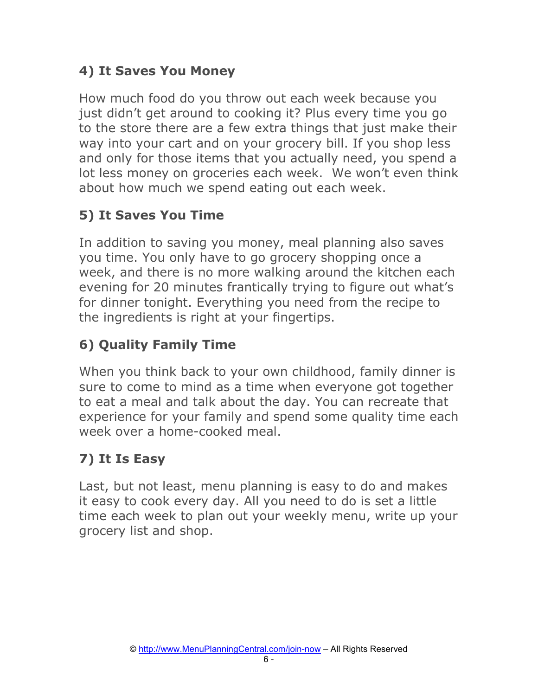#### **4) It Saves You Money**

How much food do you throw out each week because you just didn't get around to cooking it? Plus every time you go to the store there are a few extra things that just make their way into your cart and on your grocery bill. If you shop less and only for those items that you actually need, you spend a lot less money on groceries each week. We won't even think about how much we spend eating out each week.

#### **5) It Saves You Time**

In addition to saving you money, meal planning also saves you time. You only have to go grocery shopping once a week, and there is no more walking around the kitchen each evening for 20 minutes frantically trying to figure out what's for dinner tonight. Everything you need from the recipe to the ingredients is right at your fingertips.

#### **6) Quality Family Time**

When you think back to your own childhood, family dinner is sure to come to mind as a time when everyone got together to eat a meal and talk about the day. You can recreate that experience for your family and spend some quality time each week over a home-cooked meal.

#### **7) It Is Easy**

Last, but not least, menu planning is easy to do and makes it easy to cook every day. All you need to do is set a little time each week to plan out your weekly menu, write up your grocery list and shop.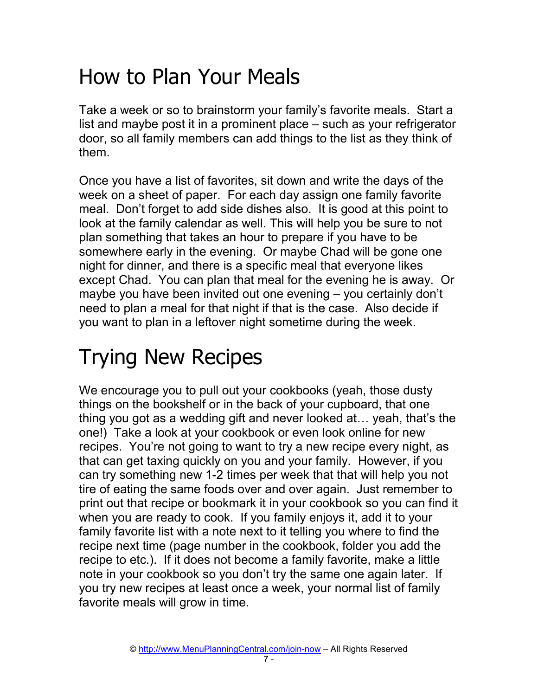### How to Plan Your Meals

Take a week or so to brainstorm your family's favorite meals. Start a list and maybe post it in a prominent place – such as your refrigerator door, so all family members can add things to the list as they think of them.

Once you have a list of favorites, sit down and write the days of the week on a sheet of paper. For each day assign one family favorite meal. Don't forget to add side dishes also. It is good at this point to look at the family calendar as well. This will help you be sure to not plan something that takes an hour to prepare if you have to be somewhere early in the evening. Or maybe Chad will be gone one night for dinner, and there is a specific meal that everyone likes except Chad. You can plan that meal for the evening he is away. Or maybe you have been invited out one evening – you certainly don't need to plan a meal for that night if that is the case. Also decide if you want to plan in a leftover night sometime during the week.

## Trying New Recipes

We encourage you to pull out your cookbooks (yeah, those dusty things on the bookshelf or in the back of your cupboard, that one thing you got as a wedding gift and never looked at... yeah, that's the one!) Take a look at your cookbook or even look online for new recipes. You're not going to want to try a new recipe every night, as that can get taxing quickly on you and your family. However, if you can try something new 1-2 times per week that that will help you not tire of eating the same foods over and over again. Just remember to print out that recipe or bookmark it in your cookbook so you can find it when you are ready to cook. If you family enjoys it, add it to your family favorite list with a note next to it telling you where to find the recipe next time (page number in the cookbook, folder you add the recipe to etc.). If it does not become a family favorite, make a little note in your cookbook so you don't try the same one again later. If you try new recipes at least once a week, your normal list of family favorite meals will grow in time.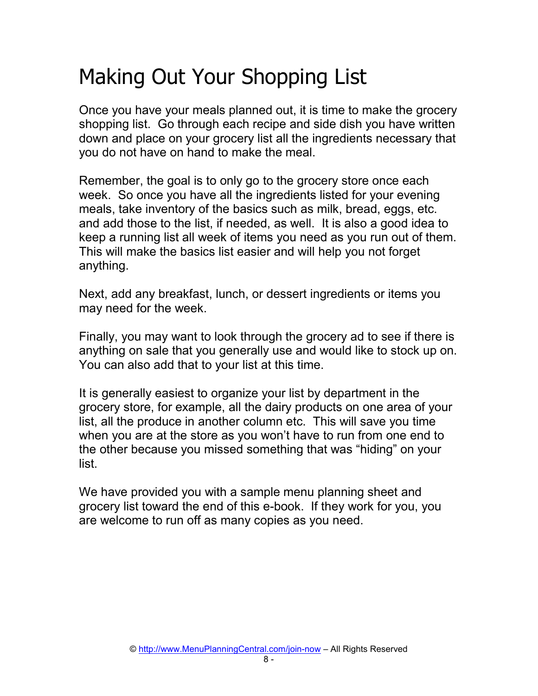## Making Out Your Shopping List

Once you have your meals planned out, it is time to make the grocery shopping list. Go through each recipe and side dish you have written down and place on your grocery list all the ingredients necessary that you do not have on hand to make the meal.

Remember, the goal is to only go to the grocery store once each week. So once you have all the ingredients listed for your evening meals, take inventory of the basics such as milk, bread, eggs, etc. and add those to the list, if needed, as well. It is also a good idea to keep a running list all week of items you need as you run out of them. This will make the basics list easier and will help you not forget anything.

Next, add any breakfast, lunch, or dessert ingredients or items you may need for the week.

Finally, you may want to look through the grocery ad to see if there is anything on sale that you generally use and would like to stock up on. You can also add that to your list at this time.

It is generally easiest to organize your list by department in the grocery store, for example, all the dairy products on one area of your list, all the produce in another column etc. This will save you time when you are at the store as you won't have to run from one end to the other because you missed something that was "hiding" on your list.

We have provided you with a sample menu planning sheet and grocery list toward the end of this e-book. If they work for you, you are welcome to run off as many copies as you need.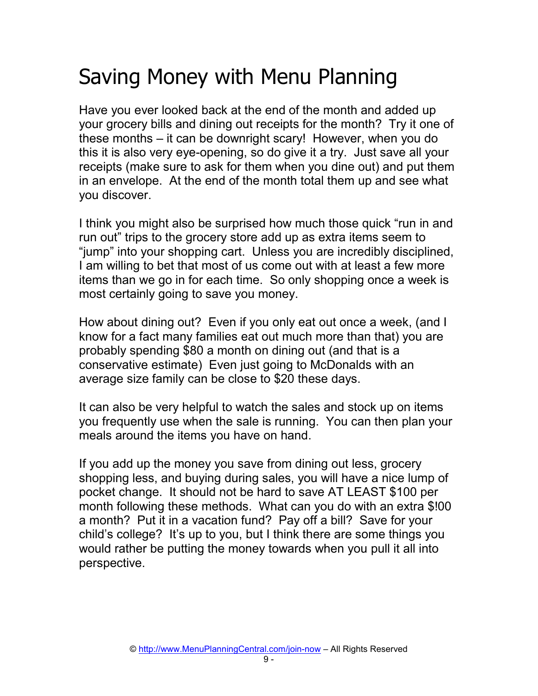## Saving Money with Menu Planning

Have you ever looked back at the end of the month and added up your grocery bills and dining out receipts for the month? Try it one of these months – it can be downright scary! However, when you do this it is also very eye-opening, so do give it a try. Just save all your receipts (make sure to ask for them when you dine out) and put them in an envelope. At the end of the month total them up and see what you discover.

I think you might also be surprised how much those quick "run in and run out" trips to the grocery store add up as extra items seem to "jump" into your shopping cart. Unless you are incredibly disciplined, I am willing to bet that most of us come out with at least a few more items than we go in for each time. So only shopping once a week is most certainly going to save you money.

How about dining out? Even if you only eat out once a week, (and I know for a fact many families eat out much more than that) you are probably spending \$80 a month on dining out (and that is a conservative estimate) Even just going to McDonalds with an average size family can be close to \$20 these days.

It can also be very helpful to watch the sales and stock up on items you frequently use when the sale is running. You can then plan your meals around the items you have on hand.

If you add up the money you save from dining out less, grocery shopping less, and buying during sales, you will have a nice lump of pocket change. It should not be hard to save AT LEAST \$100 per month following these methods. What can you do with an extra \$!00 a month? Put it in a vacation fund? Pay off a bill? Save for your child's college? It's up to you, but I think there are some things you would rather be putting the money towards when you pull it all into perspective.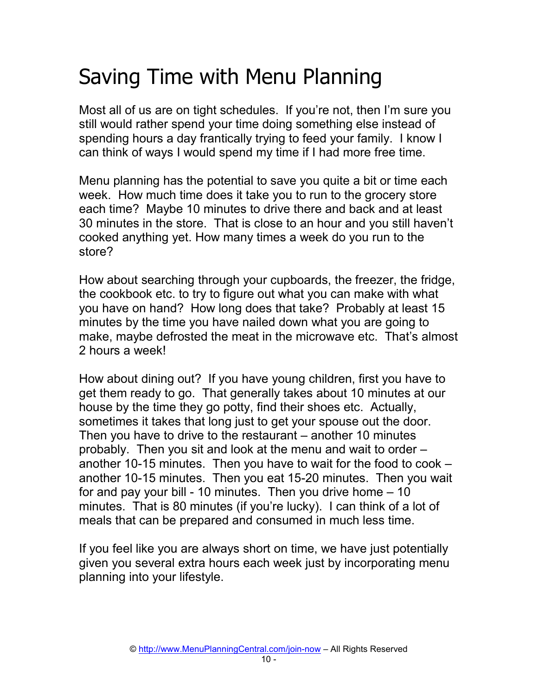## Saving Time with Menu Planning

Most all of us are on tight schedules. If you're not, then I'm sure you still would rather spend your time doing something else instead of spending hours a day frantically trying to feed your family. I know I can think of ways I would spend my time if I had more free time.

Menu planning has the potential to save you quite a bit or time each week. How much time does it take you to run to the grocery store each time? Maybe 10 minutes to drive there and back and at least 30 minutes in the store. That is close to an hour and you still haven't cooked anything yet. How many times a week do you run to the store?

How about searching through your cupboards, the freezer, the fridge, the cookbook etc. to try to figure out what you can make with what you have on hand? How long does that take? Probably at least 15 minutes by the time you have nailed down what you are going to make, maybe defrosted the meat in the microwave etc. That's almost 2 hours a week!

How about dining out? If you have young children, first you have to get them ready to go. That generally takes about 10 minutes at our house by the time they go potty, find their shoes etc. Actually, sometimes it takes that long just to get your spouse out the door. Then you have to drive to the restaurant – another 10 minutes probably. Then you sit and look at the menu and wait to order – another 10-15 minutes. Then you have to wait for the food to cook – another 10-15 minutes. Then you eat 15-20 minutes. Then you wait for and pay your bill - 10 minutes. Then you drive home  $-10$ minutes. That is 80 minutes (if you're lucky). I can think of a lot of meals that can be prepared and consumed in much less time.

If you feel like you are always short on time, we have just potentially given you several extra hours each week just by incorporating menu planning into your lifestyle.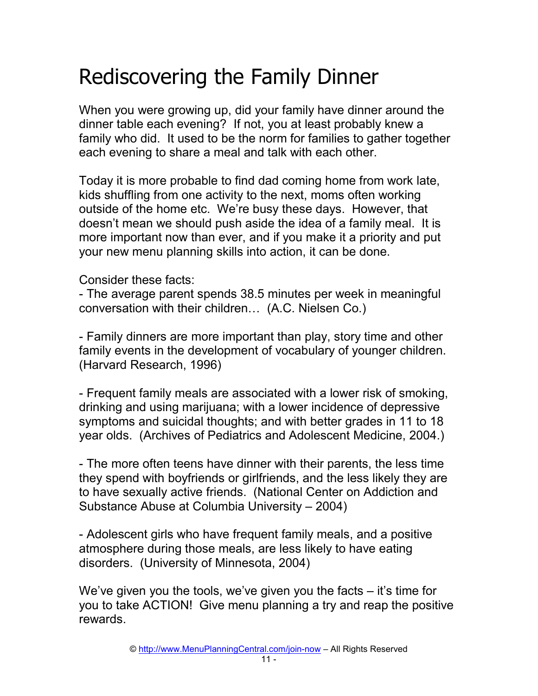## Rediscovering the Family Dinner

When you were growing up, did your family have dinner around the dinner table each evening? If not, you at least probably knew a family who did. It used to be the norm for families to gather together each evening to share a meal and talk with each other.

Today it is more probable to find dad coming home from work late, kids shuffling from one activity to the next, moms often working outside of the home etc. We're busy these days. However, that doesn't mean we should push aside the idea of a family meal. It is more important now than ever, and if you make it a priority and put your new menu planning skills into action, it can be done.

Consider these facts:

- The average parent spends 38.5 minutes per week in meaningful conversation with their children... (A.C. Nielsen Co.)

- Family dinners are more important than play, story time and other family events in the development of vocabulary of younger children. (Harvard Research, 1996)

- Frequent family meals are associated with a lower risk of smoking, drinking and using marijuana; with a lower incidence of depressive symptoms and suicidal thoughts; and with better grades in 11 to 18 year olds. (Archives of Pediatrics and Adolescent Medicine, 2004.)

- The more often teens have dinner with their parents, the less time they spend with boyfriends or girlfriends, and the less likely they are to have sexually active friends. (National Center on Addiction and Substance Abuse at Columbia University – 2004)

- Adolescent girls who have frequent family meals, and a positive atmosphere during those meals, are less likely to have eating disorders. (University of Minnesota, 2004)

We've given you the tools, we've given you the facts – it's time for you to take ACTION! Give menu planning a try and reap the positive rewards.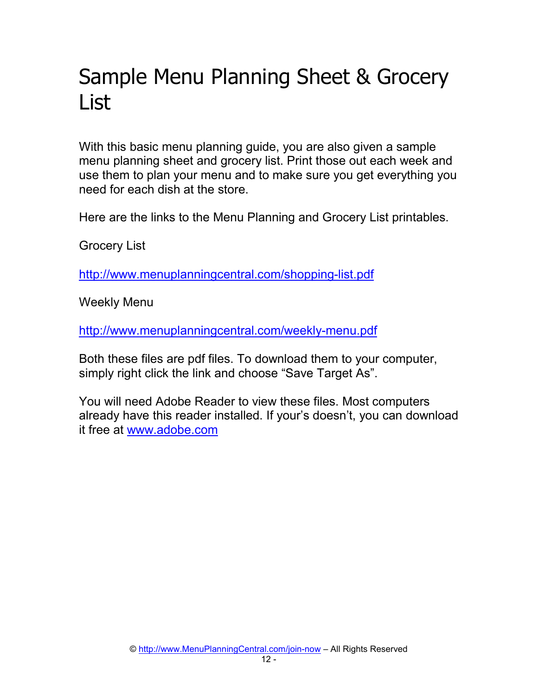## Sample Menu Planning Sheet & Grocery List

With this basic menu planning guide, you are also given a sample menu planning sheet and grocery list. Print those out each week and use them to plan your menu and to make sure you get everything you need for each dish at the store.

Here are the links to the Menu Planning and Grocery List printables.

Grocery List

http://www.menuplanningcentral.com/shopping-list.pdf

Weekly Menu

http://www.menuplanningcentral.com/weekly-menu.pdf

Both these files are pdf files. To download them to your computer, simply right click the link and choose "Save Target As".

You will need Adobe Reader to view these files. Most computers already have this reader installed. If your's doesn't, you can download it free at www.adobe.com